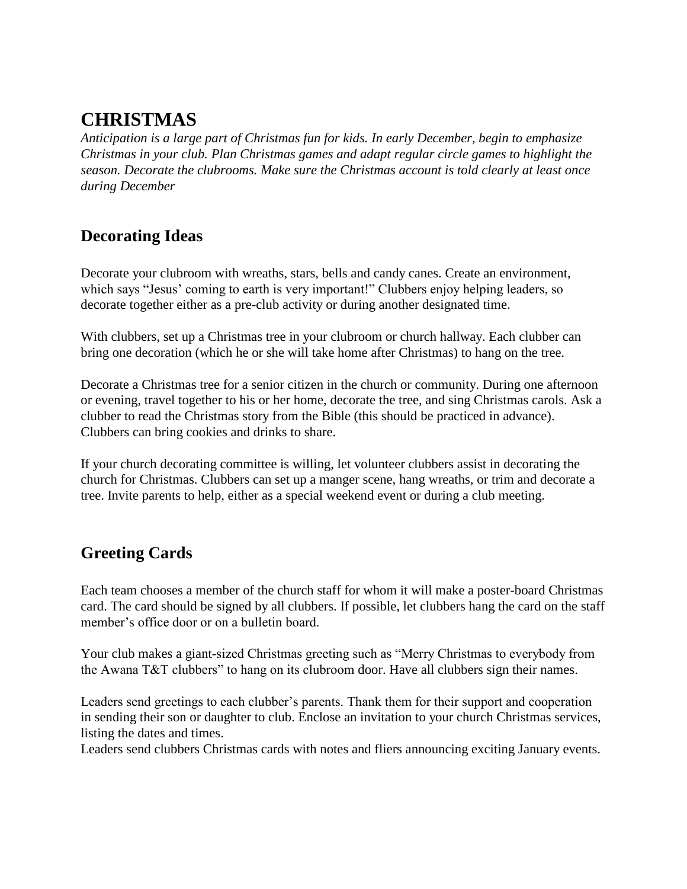# **CHRISTMAS**

*Anticipation is a large part of Christmas fun for kids. In early December, begin to emphasize Christmas in your club. Plan Christmas games and adapt regular circle games to highlight the season. Decorate the clubrooms. Make sure the Christmas account is told clearly at least once during December*

## **Decorating Ideas**

Decorate your clubroom with wreaths, stars, bells and candy canes. Create an environment, which says "Jesus' coming to earth is very important!" Clubbers enjoy helping leaders, so decorate together either as a pre-club activity or during another designated time.

With clubbers, set up a Christmas tree in your clubroom or church hallway. Each clubber can bring one decoration (which he or she will take home after Christmas) to hang on the tree.

Decorate a Christmas tree for a senior citizen in the church or community. During one afternoon or evening, travel together to his or her home, decorate the tree, and sing Christmas carols. Ask a clubber to read the Christmas story from the Bible (this should be practiced in advance). Clubbers can bring cookies and drinks to share.

If your church decorating committee is willing, let volunteer clubbers assist in decorating the church for Christmas. Clubbers can set up a manger scene, hang wreaths, or trim and decorate a tree. Invite parents to help, either as a special weekend event or during a club meeting.

## **Greeting Cards**

Each team chooses a member of the church staff for whom it will make a poster-board Christmas card. The card should be signed by all clubbers. If possible, let clubbers hang the card on the staff member's office door or on a bulletin board.

Your club makes a giant-sized Christmas greeting such as "Merry Christmas to everybody from the Awana T&T clubbers" to hang on its clubroom door. Have all clubbers sign their names.

Leaders send greetings to each clubber's parents. Thank them for their support and cooperation in sending their son or daughter to club. Enclose an invitation to your church Christmas services, listing the dates and times.

Leaders send clubbers Christmas cards with notes and fliers announcing exciting January events.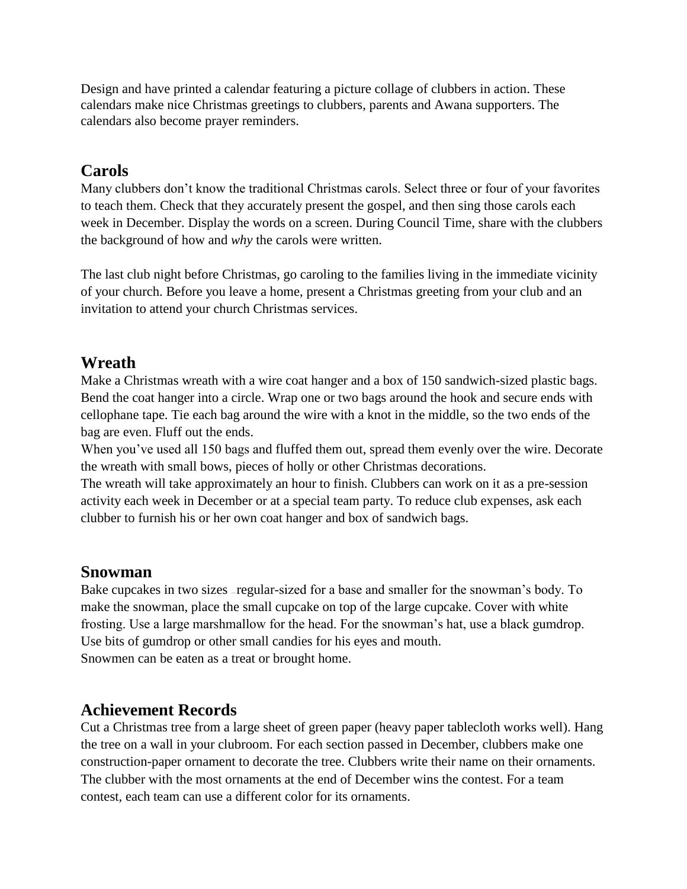Design and have printed a calendar featuring a picture collage of clubbers in action. These calendars make nice Christmas greetings to clubbers, parents and Awana supporters. The calendars also become prayer reminders.

### **Carols**

Many clubbers don't know the traditional Christmas carols. Select three or four of your favorites to teach them. Check that they accurately present the gospel, and then sing those carols each week in December. Display the words on a screen. During Council Time, share with the clubbers the background of how and *why* the carols were written.

The last club night before Christmas, go caroling to the families living in the immediate vicinity of your church. Before you leave a home, present a Christmas greeting from your club and an invitation to attend your church Christmas services.

## **Wreath**

Make a Christmas wreath with a wire coat hanger and a box of 150 sandwich-sized plastic bags. Bend the coat hanger into a circle. Wrap one or two bags around the hook and secure ends with cellophane tape. Tie each bag around the wire with a knot in the middle, so the two ends of the bag are even. Fluff out the ends.

When you've used all 150 bags and fluffed them out, spread them evenly over the wire. Decorate the wreath with small bows, pieces of holly or other Christmas decorations.

The wreath will take approximately an hour to finish. Clubbers can work on it as a pre-session activity each week in December or at a special team party. To reduce club expenses, ask each clubber to furnish his or her own coat hanger and box of sandwich bags.

### **Snowman**

Bake cupcakes in two sizes — regular-sized for a base and smaller for the snowman's body. To make the snowman, place the small cupcake on top of the large cupcake. Cover with white frosting. Use a large marshmallow for the head. For the snowman's hat, use a black gumdrop. Use bits of gumdrop or other small candies for his eyes and mouth. Snowmen can be eaten as a treat or brought home.

## **Achievement Records**

Cut a Christmas tree from a large sheet of green paper (heavy paper tablecloth works well). Hang the tree on a wall in your clubroom. For each section passed in December, clubbers make one construction-paper ornament to decorate the tree. Clubbers write their name on their ornaments. The clubber with the most ornaments at the end of December wins the contest. For a team contest, each team can use a different color for its ornaments.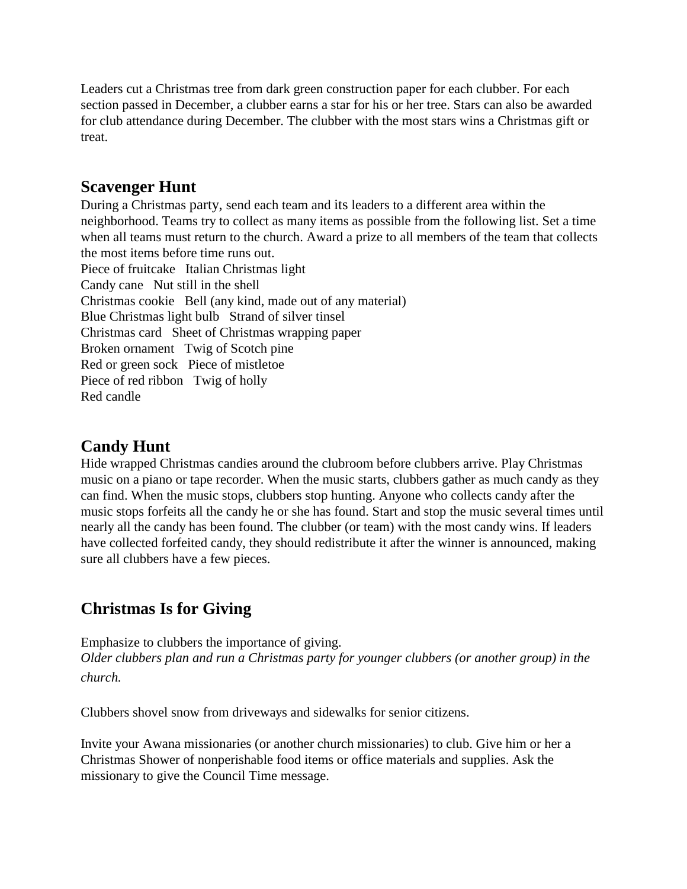Leaders cut a Christmas tree from dark green construction paper for each clubber. For each section passed in December, a clubber earns a star for his or her tree. Stars can also be awarded for club attendance during December. The clubber with the most stars wins a Christmas gift or treat.

### **Scavenger Hunt**

During a Christmas party, send each team and its leaders to a different area within the neighborhood. Teams try to collect as many items as possible from the following list. Set a time when all teams must return to the church. Award a prize to all members of the team that collects the most items before time runs out. Piece of fruitcake Italian Christmas light Candy cane Nut still in the shell Christmas cookie Bell (any kind, made out of any material) Blue Christmas light bulb Strand of silver tinsel Christmas card Sheet of Christmas wrapping paper Broken ornament Twig of Scotch pine Red or green sock Piece of mistletoe Piece of red ribbon Twig of holly Red candle

## **Candy Hunt**

Hide wrapped Christmas candies around the clubroom before clubbers arrive. Play Christmas music on a piano or tape recorder. When the music starts, clubbers gather as much candy as they can find. When the music stops, clubbers stop hunting. Anyone who collects candy after the music stops forfeits all the candy he or she has found. Start and stop the music several times until nearly all the candy has been found. The clubber (or team) with the most candy wins. If leaders have collected forfeited candy, they should redistribute it after the winner is announced, making sure all clubbers have a few pieces.

## **Christmas Is for Giving**

Emphasize to clubbers the importance of giving. *Older clubbers plan and run a Christmas party for younger clubbers (or another group) in the church.*

Clubbers shovel snow from driveways and sidewalks for senior citizens.

Invite your Awana missionaries (or another church missionaries) to club. Give him or her a Christmas Shower of nonperishable food items or office materials and supplies. Ask the missionary to give the Council Time message.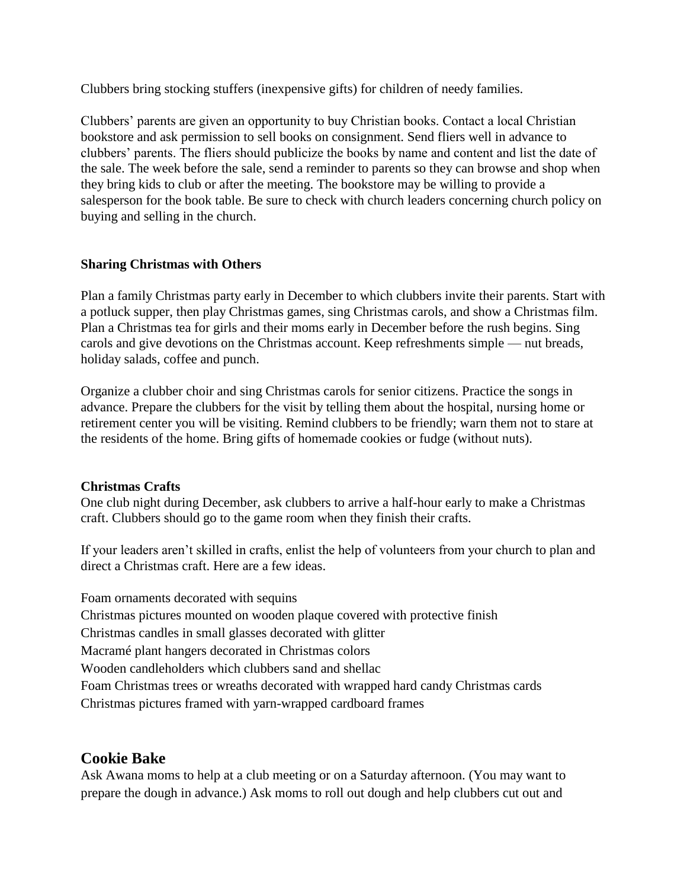Clubbers bring stocking stuffers (inexpensive gifts) for children of needy families.

Clubbers' parents are given an opportunity to buy Christian books. Contact a local Christian bookstore and ask permission to sell books on consignment. Send fliers well in advance to clubbers' parents. The fliers should publicize the books by name and content and list the date of the sale. The week before the sale, send a reminder to parents so they can browse and shop when they bring kids to club or after the meeting. The bookstore may be willing to provide a salesperson for the book table. Be sure to check with church leaders concerning church policy on buying and selling in the church.

#### **Sharing Christmas with Others**

Plan a family Christmas party early in December to which clubbers invite their parents. Start with a potluck supper, then play Christmas games, sing Christmas carols, and show a Christmas film. Plan a Christmas tea for girls and their moms early in December before the rush begins. Sing carols and give devotions on the Christmas account. Keep refreshments simple — nut breads, holiday salads, coffee and punch.

Organize a clubber choir and sing Christmas carols for senior citizens. Practice the songs in advance. Prepare the clubbers for the visit by telling them about the hospital, nursing home or retirement center you will be visiting. Remind clubbers to be friendly; warn them not to stare at the residents of the home. Bring gifts of homemade cookies or fudge (without nuts).

#### **Christmas Crafts**

One club night during December, ask clubbers to arrive a half-hour early to make a Christmas craft. Clubbers should go to the game room when they finish their crafts.

If your leaders aren't skilled in crafts, enlist the help of volunteers from your church to plan and direct a Christmas craft. Here are a few ideas.

Foam ornaments decorated with sequins Christmas pictures mounted on wooden plaque covered with protective finish Christmas candles in small glasses decorated with glitter Macramé plant hangers decorated in Christmas colors Wooden candleholders which clubbers sand and shellac Foam Christmas trees or wreaths decorated with wrapped hard candy Christmas cards Christmas pictures framed with yarn-wrapped cardboard frames

### **Cookie Bake**

Ask Awana moms to help at a club meeting or on a Saturday afternoon. (You may want to prepare the dough in advance.) Ask moms to roll out dough and help clubbers cut out and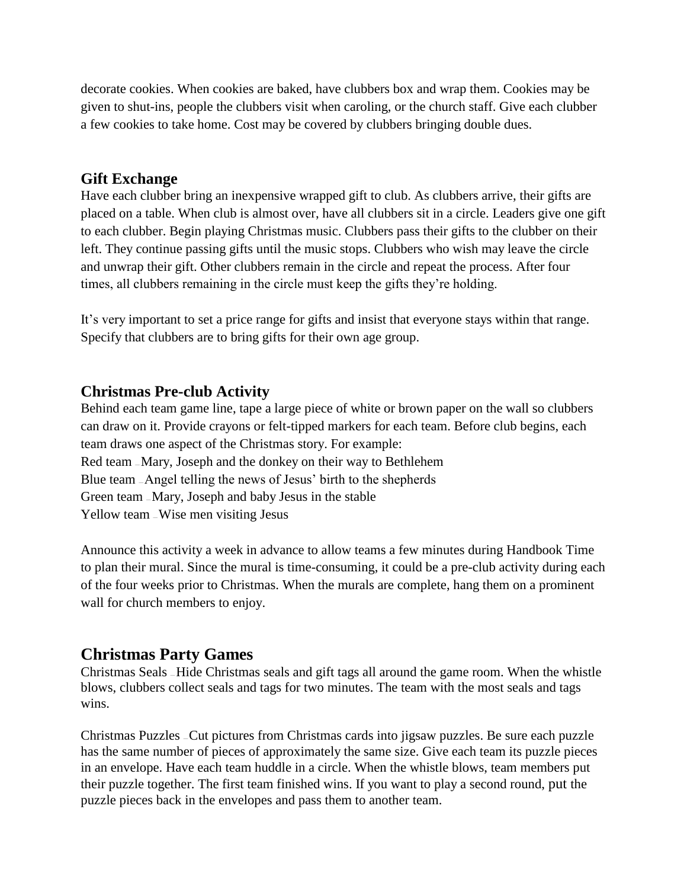decorate cookies. When cookies are baked, have clubbers box and wrap them. Cookies may be given to shut-ins, people the clubbers visit when caroling, or the church staff. Give each clubber a few cookies to take home. Cost may be covered by clubbers bringing double dues.

#### **Gift Exchange**

Have each clubber bring an inexpensive wrapped gift to club. As clubbers arrive, their gifts are placed on a table. When club is almost over, have all clubbers sit in a circle. Leaders give one gift to each clubber. Begin playing Christmas music. Clubbers pass their gifts to the clubber on their left. They continue passing gifts until the music stops. Clubbers who wish may leave the circle and unwrap their gift. Other clubbers remain in the circle and repeat the process. After four times, all clubbers remaining in the circle must keep the gifts they're holding.

It's very important to set a price range for gifts and insist that everyone stays within that range. Specify that clubbers are to bring gifts for their own age group.

### **Christmas Pre-club Activity**

Behind each team game line, tape a large piece of white or brown paper on the wall so clubbers can draw on it. Provide crayons or felt-tipped markers for each team. Before club begins, each team draws one aspect of the Christmas story. For example: Red team – Mary, Joseph and the donkey on their way to Bethlehem Blue team — Angel telling the news of Jesus' birth to the shepherds Green team — Mary, Joseph and baby Jesus in the stable Yellow team — Wise men visiting Jesus

Announce this activity a week in advance to allow teams a few minutes during Handbook Time to plan their mural. Since the mural is time-consuming, it could be a pre-club activity during each of the four weeks prior to Christmas. When the murals are complete, hang them on a prominent wall for church members to enjoy.

### **Christmas Party Games**

Christmas Seals — Hide Christmas seals and gift tags all around the game room. When the whistle blows, clubbers collect seals and tags for two minutes. The team with the most seals and tags wins.

Christmas Puzzles — Cut pictures from Christmas cards into jigsaw puzzles. Be sure each puzzle has the same number of pieces of approximately the same size. Give each team its puzzle pieces in an envelope. Have each team huddle in a circle. When the whistle blows, team members put their puzzle together. The first team finished wins. If you want to play a second round, put the puzzle pieces back in the envelopes and pass them to another team.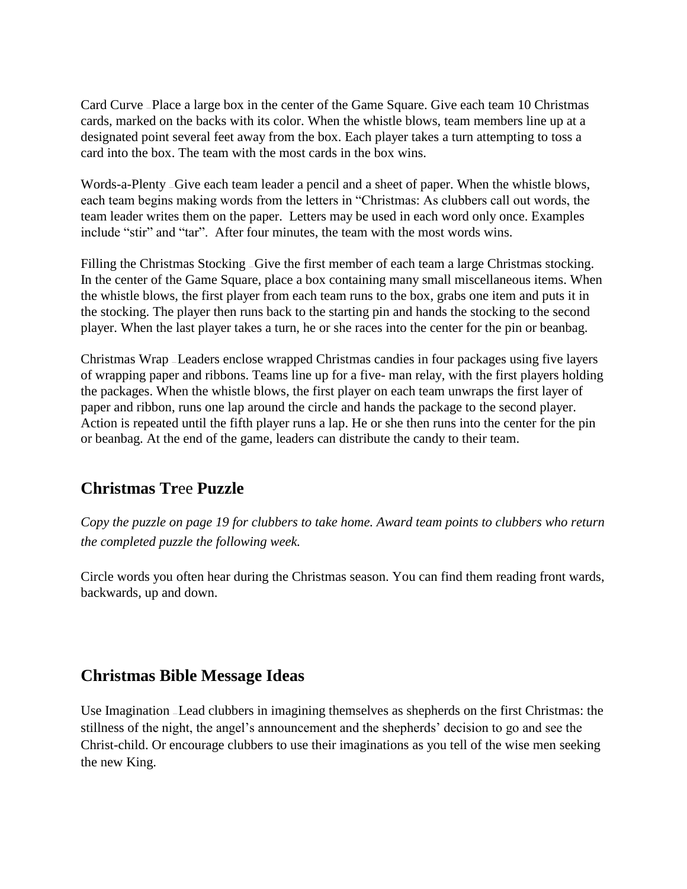Card Curve — Place a large box in the center of the Game Square. Give each team 10 Christmas cards, marked on the backs with its color. When the whistle blows, team members line up at a designated point several feet away from the box. Each player takes a turn attempting to toss a card into the box. The team with the most cards in the box wins.

Words-a-Plenty – Give each team leader a pencil and a sheet of paper. When the whistle blows, each team begins making words from the letters in "Christmas: As clubbers call out words, the team leader writes them on the paper. Letters may be used in each word only once. Examples include "stir" and "tar". After four minutes, the team with the most words wins.

Filling the Christmas Stocking – Give the first member of each team a large Christmas stocking. In the center of the Game Square, place a box containing many small miscellaneous items. When the whistle blows, the first player from each team runs to the box, grabs one item and puts it in the stocking. The player then runs back to the starting pin and hands the stocking to the second player. When the last player takes a turn, he or she races into the center for the pin or beanbag.

Christmas Wrap — Leaders enclose wrapped Christmas candies in four packages using five layers of wrapping paper and ribbons. Teams line up for a five- man relay, with the first players holding the packages. When the whistle blows, the first player on each team unwraps the first layer of paper and ribbon, runs one lap around the circle and hands the package to the second player. Action is repeated until the fifth player runs a lap. He or she then runs into the center for the pin or beanbag. At the end of the game, leaders can distribute the candy to their team.

### **Christmas Tr**ee **Puzzle**

*Copy the puzzle on page 19 for clubbers to take home. Award team points to clubbers who return the completed puzzle the following week.*

Circle words you often hear during the Christmas season. You can find them reading front wards, backwards, up and down.

### **Christmas Bible Message Ideas**

Use Imagination — Lead clubbers in imagining themselves as shepherds on the first Christmas: the stillness of the night, the angel's announcement and the shepherds' decision to go and see the Christ-child. Or encourage clubbers to use their imaginations as you tell of the wise men seeking the new King.